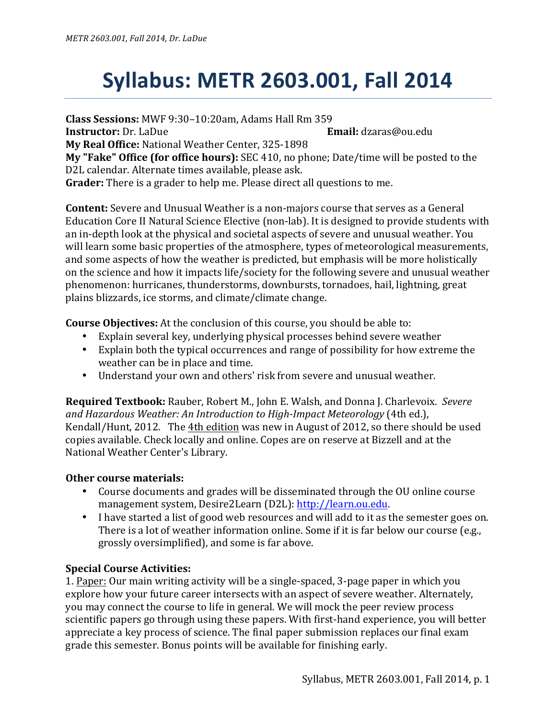## **Syllabus: METR 2603.001, Fall 2014**

**Class Sessions:** MWF 9:30–10:20am, Adams Hall Rm 359

**Instructor:** Dr. LaDue **Email:** dzaras@ou.edu

**My Real Office:** National Weather Center, 325-1898

**My "Fake" Office (for office hours):** SEC 410, no phone; Date/time will be posted to the D2L calendar. Alternate times available, please ask.

**Grader:** There is a grader to help me. Please direct all questions to me.

**Content:** Severe and Unusual Weather is a non-majors course that serves as a General Education Core II Natural Science Elective (non-lab). It is designed to provide students with an in-depth look at the physical and societal aspects of severe and unusual weather. You will learn some basic properties of the atmosphere, types of meteorological measurements, and some aspects of how the weather is predicted, but emphasis will be more holistically on the science and how it impacts life/society for the following severe and unusual weather phenomenon: hurricanes, thunderstorms, downbursts, tornadoes, hail, lightning, great plains blizzards, ice storms, and climate/climate change.

**Course Objectives:** At the conclusion of this course, you should be able to:

- Explain several key, underlying physical processes behind severe weather
- Explain both the typical occurrences and range of possibility for how extreme the weather can be in place and time.
- Understand your own and others' risk from severe and unusual weather.

**Required Textbook:** Rauber, Robert M., John E. Walsh, and Donna J. Charlevoix. Severe and Hazardous Weather: An Introduction to High-Impact Meteorology (4th ed.), Kendall/Hunt, 2012. The 4th edition was new in August of 2012, so there should be used copies available. Check locally and online. Copes are on reserve at Bizzell and at the National Weather Center's Library.

## **Other course materials:**

- Course documents and grades will be disseminated through the OU online course management system, Desire2Learn (D2L): http://learn.ou.edu.
- I have started a list of good web resources and will add to it as the semester goes on. There is a lot of weather information online. Some if it is far below our course (e.g., grossly oversimplified), and some is far above.

## **Special Course Activities:**

1. Paper: Our main writing activity will be a single-spaced, 3-page paper in which you explore how your future career intersects with an aspect of severe weather. Alternately, you may connect the course to life in general. We will mock the peer review process scientific papers go through using these papers. With first-hand experience, you will better appreciate a key process of science. The final paper submission replaces our final exam grade this semester. Bonus points will be available for finishing early.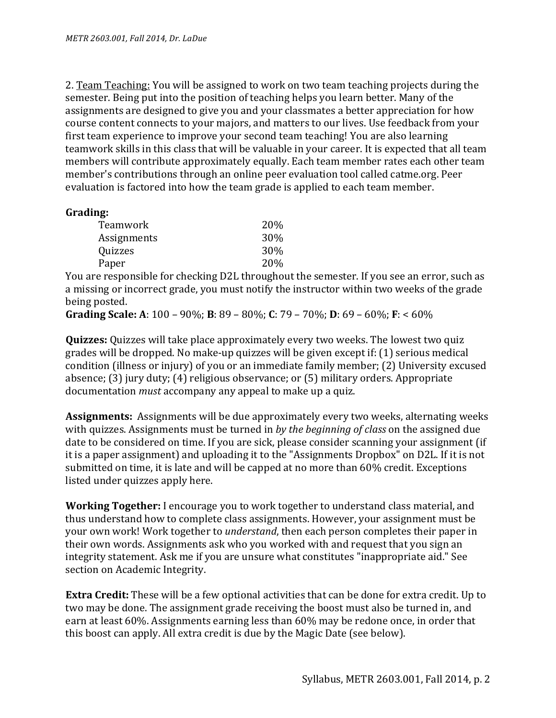2. Team Teaching: You will be assigned to work on two team teaching projects during the semester. Being put into the position of teaching helps you learn better. Many of the assignments are designed to give you and your classmates a better appreciation for how course content connects to your majors, and matters to our lives. Use feedback from your first team experience to improve your second team teaching! You are also learning teamwork skills in this class that will be valuable in your career. It is expected that all team members will contribute approximately equally. Each team member rates each other team member's contributions through an online peer evaluation tool called catme.org. Peer evaluation is factored into how the team grade is applied to each team member.

## **Grading:**

| <b>20%</b> |
|------------|
| 30%        |
| 30%        |
| <b>20%</b> |
|            |

You are responsible for checking D2L throughout the semester. If you see an error, such as a missing or incorrect grade, you must notify the instructor within two weeks of the grade being posted.

**Grading Scale:** A: 100 – 90%; **B**: 89 – 80%; **C**: 79 – 70%; **D**: 69 – 60%; **F**: < 60%

**Quizzes:** Quizzes will take place approximately every two weeks. The lowest two quiz grades will be dropped. No make-up quizzes will be given except if:  $(1)$  serious medical condition (illness or injury) of you or an immediate family member; (2) University excused absence; (3) jury duty; (4) religious observance; or (5) military orders. Appropriate documentation *must* accompany any appeal to make up a quiz.

**Assignments:** Assignments will be due approximately every two weeks, alternating weeks with quizzes. Assignments must be turned in *by the beginning of class* on the assigned due date to be considered on time. If you are sick, please consider scanning your assignment (if it is a paper assignment) and uploading it to the "Assignments Dropbox" on D2L. If it is not submitted on time, it is late and will be capped at no more than 60% credit. Exceptions listed under quizzes apply here.

**Working Together:** I encourage you to work together to understand class material, and thus understand how to complete class assignments. However, your assignment must be your own work! Work together to *understand*, then each person completes their paper in their own words. Assignments ask who you worked with and request that you sign an integrity statement. Ask me if you are unsure what constitutes "inappropriate aid." See section on Academic Integrity.

**Extra Credit:** These will be a few optional activities that can be done for extra credit. Up to two may be done. The assignment grade receiving the boost must also be turned in, and earn at least  $60\%$ . Assignments earning less than  $60\%$  may be redone once, in order that this boost can apply. All extra credit is due by the Magic Date (see below).